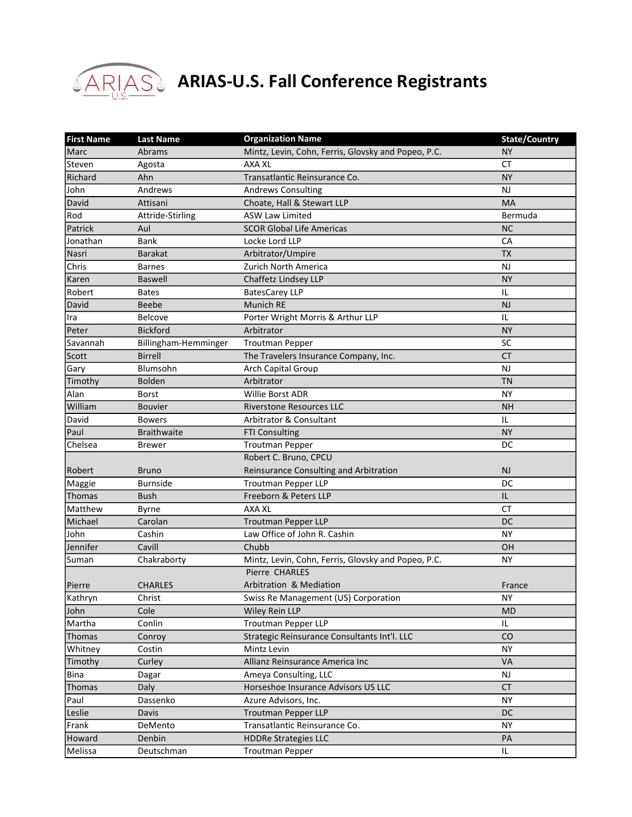

## **ARIAS** ARIAS-U.S. Fall Conference Registrants

| <b>First Name</b> | <b>Last Name</b>     | <b>Organization Name</b>                            | <b>State/Country</b> |
|-------------------|----------------------|-----------------------------------------------------|----------------------|
| Marc              | Abrams               | Mintz, Levin, Cohn, Ferris, Glovsky and Popeo, P.C. | <b>NY</b>            |
| Steven            | Agosta               | AXA XL                                              | <b>CT</b>            |
| Richard           | Ahn                  | Transatlantic Reinsurance Co.                       | <b>NY</b>            |
| John              | Andrews              | <b>Andrews Consulting</b>                           | <b>NJ</b>            |
| David             | Attisani             | Choate, Hall & Stewart LLP                          | <b>MA</b>            |
| Rod               | Attride-Stirling     | <b>ASW Law Limited</b>                              | Bermuda              |
| Patrick           | Aul                  | <b>SCOR Global Life Americas</b>                    | <b>NC</b>            |
| Jonathan          | Bank                 | Locke Lord LLP                                      | CA                   |
| Nasri             | <b>Barakat</b>       | Arbitrator/Umpire                                   | <b>TX</b>            |
| Chris             | <b>Barnes</b>        | <b>Zurich North America</b>                         | <b>NJ</b>            |
| Karen             | <b>Baswell</b>       | Chaffetz Lindsey LLP                                | <b>NY</b>            |
| Robert            | <b>Bates</b>         | <b>BatesCarey LLP</b>                               | IL                   |
| David             | <b>Beebe</b>         | Munich RE                                           | <b>NJ</b>            |
| Ira               | Belcove              | Porter Wright Morris & Arthur LLP                   | IL                   |
| Peter             | <b>Bickford</b>      | Arbitrator                                          | <b>NY</b>            |
| Savannah          | Billingham-Hemminger | <b>Troutman Pepper</b>                              | SC                   |
| Scott             | <b>Birrell</b>       | The Travelers Insurance Company, Inc.               | <b>CT</b>            |
| Gary              | Blumsohn             | Arch Capital Group                                  | <b>NJ</b>            |
| Timothy           | <b>Bolden</b>        | Arbitrator                                          | <b>TN</b>            |
| Alan              | <b>Borst</b>         | Willie Borst ADR                                    | <b>NY</b>            |
| William           | <b>Bouvier</b>       | <b>Riverstone Resources LLC</b>                     | <b>NH</b>            |
| David             | <b>Bowers</b>        | Arbitrator & Consultant                             | IL                   |
| Paul              | <b>Braithwaite</b>   | <b>FTI Consulting</b>                               | <b>NY</b>            |
| Chelsea           | <b>Brewer</b>        | <b>Troutman Pepper</b>                              | DC                   |
|                   |                      | Robert C. Bruno, CPCU                               |                      |
| Robert            | <b>Bruno</b>         | Reinsurance Consulting and Arbitration              | <b>NJ</b>            |
| Maggie            | <b>Burnside</b>      | <b>Troutman Pepper LLP</b>                          | DC                   |
| Thomas            | <b>Bush</b>          | Freeborn & Peters LLP                               | IL                   |
| Matthew           | Byrne                | <b>AXA XL</b>                                       | <b>CT</b>            |
| Michael           | Carolan              | <b>Troutman Pepper LLP</b>                          | DC                   |
| John              | Cashin               | Law Office of John R. Cashin                        | <b>NY</b>            |
| Jennifer          | Cavill               | Chubb                                               | OH                   |
| Suman             | Chakraborty          | Mintz, Levin, Cohn, Ferris, Glovsky and Popeo, P.C. | ΝY                   |
|                   |                      | Pierre CHARLES                                      |                      |
| Pierre            | <b>CHARLES</b>       | Arbitration & Mediation                             | France               |
| Kathryn           | Christ               | Swiss Re Management (US) Corporation                | <b>NY</b>            |
| John              | Cole                 | Wiley Rein LLP                                      | <b>MD</b>            |
| Martha            | Conlin               | <b>Troutman Pepper LLP</b>                          | IL                   |
| Thomas            | Conroy               | Strategic Reinsurance Consultants Int'l. LLC        | CO                   |
| Whitney           | Costin               | Mintz Levin                                         | <b>NY</b>            |
| Timothy           | Curley               | Allianz Reinsurance America Inc                     | VA                   |
| Bina              | Dagar                | Ameya Consulting, LLC                               | <b>NJ</b>            |
| Thomas            | Daly                 | Horseshoe Insurance Advisors US LLC                 | <b>CT</b>            |
| Paul              | Dassenko             | Azure Advisors, Inc.                                | <b>NY</b>            |
| Leslie            | Davis                | <b>Troutman Pepper LLP</b>                          | DC                   |
| Frank             | DeMento              | Transatlantic Reinsurance Co.                       | <b>NY</b>            |
| Howard            | Denbin               | <b>HDDRe Strategies LLC</b>                         | PA                   |
| Melissa           | Deutschman           | <b>Troutman Pepper</b>                              | IL                   |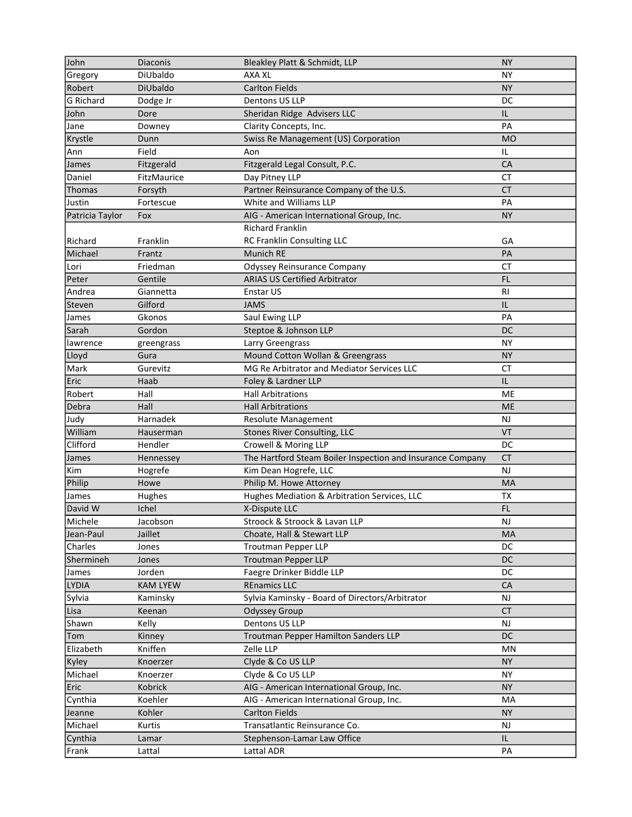| John            | Diaconis        | Bleakley Platt & Schmidt, LLP                              | <b>NY</b>      |
|-----------------|-----------------|------------------------------------------------------------|----------------|
| Gregory         | DiUbaldo        | <b>AXA XL</b>                                              | ΝY             |
| Robert          | DiUbaldo        | <b>Carlton Fields</b>                                      | <b>NY</b>      |
| G Richard       | Dodge Jr        | Dentons US LLP                                             | DC             |
| John            | Dore            | Sheridan Ridge Advisers LLC                                | IL             |
| Jane            | Downey          | Clarity Concepts, Inc.                                     | PA             |
| Krystle         | Dunn            | Swiss Re Management (US) Corporation                       | <b>MO</b>      |
| Ann             | Field           | Aon                                                        | IL             |
| James           | Fitzgerald      | Fitzgerald Legal Consult, P.C.                             | CA             |
| Daniel          | FitzMaurice     | Day Pitney LLP                                             | <b>CT</b>      |
| Thomas          | Forsyth         | Partner Reinsurance Company of the U.S.                    | <b>CT</b>      |
| Justin          | Fortescue       | White and Williams LLP                                     | PA             |
| Patricia Taylor | <b>Fox</b>      | AIG - American International Group, Inc.                   | <b>NY</b>      |
|                 |                 | <b>Richard Franklin</b>                                    |                |
| Richard         | Franklin        | RC Franklin Consulting LLC                                 | GA             |
| Michael         | Frantz          | <b>Munich RE</b>                                           | PA             |
| Lori            | Friedman        | Odyssey Reinsurance Company                                | <b>CT</b>      |
| Peter           | Gentile         | <b>ARIAS US Certified Arbitrator</b>                       | <b>FL</b>      |
| Andrea          | Giannetta       | Enstar US                                                  | R <sub>l</sub> |
| Steven          | Gilford         | <b>JAMS</b>                                                | IL             |
| James           | Gkonos          | Saul Ewing LLP                                             | PA             |
| Sarah           | Gordon          | Steptoe & Johnson LLP                                      | <b>DC</b>      |
| lawrence        | greengrass      | Larry Greengrass                                           | <b>NY</b>      |
| Lloyd           | Gura            | Mound Cotton Wollan & Greengrass                           | <b>NY</b>      |
| Mark            | Gurevitz        | MG Re Arbitrator and Mediator Services LLC                 | <b>CT</b>      |
| Eric            | Haab            | Foley & Lardner LLP                                        | IL             |
| Robert          | Hall            | <b>Hall Arbitrations</b>                                   | ME             |
| Debra           | Hall            | <b>Hall Arbitrations</b>                                   | <b>ME</b>      |
| Judy            | Harnadek        | Resolute Management                                        | <b>NJ</b>      |
| William         | Hauserman       | <b>Stones River Consulting, LLC</b>                        | <b>VT</b>      |
| Clifford        | Hendler         | Crowell & Moring LLP                                       | DC             |
| James           | Hennessey       | The Hartford Steam Boiler Inspection and Insurance Company | CT             |
| Kim             | Hogrefe         | Kim Dean Hogrefe, LLC                                      | <b>NJ</b>      |
| Philip          | Howe            | Philip M. Howe Attorney                                    | MA             |
| James           | Hughes          | Hughes Mediation & Arbitration Services, LLC               | <b>TX</b>      |
| David W         | Ichel           | X-Dispute LLC                                              | <b>FL</b>      |
| Michele         | Jacobson        | Stroock & Stroock & Lavan LLP                              | NJ             |
| Jean-Paul       | Jaillet         | Choate, Hall & Stewart LLP                                 | MA             |
| Charles         | Jones           | <b>Troutman Pepper LLP</b>                                 | DC             |
| Shermineh       | Jones           | <b>Troutman Pepper LLP</b>                                 | <b>DC</b>      |
| James           | Jorden          | Faegre Drinker Biddle LLP                                  | DC             |
| LYDIA           | <b>KAM LYEW</b> | <b>REnamics LLC</b>                                        | CA             |
| Sylvia          | Kaminsky        | Sylvia Kaminsky - Board of Directors/Arbitrator            | <b>NJ</b>      |
| Lisa            | Keenan          | <b>Odyssey Group</b>                                       | <b>CT</b>      |
| Shawn           | Kelly           | Dentons US LLP                                             | <b>NJ</b>      |
| Tom             | Kinney          | Troutman Pepper Hamilton Sanders LLP                       | <b>DC</b>      |
| Elizabeth       | Kniffen         | Zelle LLP                                                  | MN             |
| Kyley           | Knoerzer        | Clyde & Co US LLP                                          | <b>NY</b>      |
| Michael         | Knoerzer        | Clyde & Co US LLP                                          | <b>NY</b>      |
| Eric            | Kobrick         | AIG - American International Group, Inc.                   | <b>NY</b>      |
| Cynthia         | Koehler         | AIG - American International Group, Inc.                   | MA             |
| Jeanne          | Kohler          | <b>Carlton Fields</b>                                      | <b>NY</b>      |
| Michael         | Kurtis          | Transatlantic Reinsurance Co.                              | NJ             |
| Cynthia         | Lamar           | Stephenson-Lamar Law Office                                | IL             |
| Frank           | Lattal          | Lattal ADR                                                 | PA             |
|                 |                 |                                                            |                |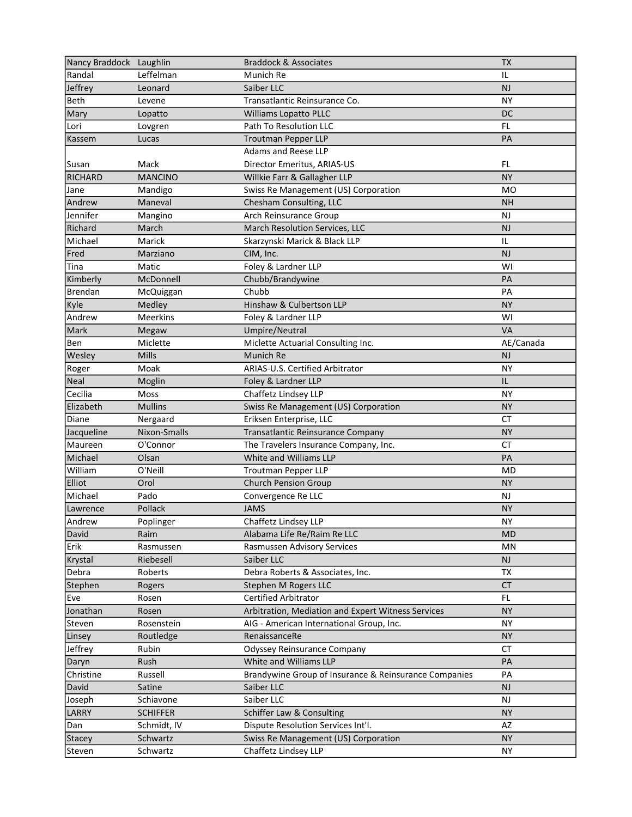| Nancy Braddock Laughlin |                 | <b>Braddock &amp; Associates</b>                      | <b>TX</b> |
|-------------------------|-----------------|-------------------------------------------------------|-----------|
| Randal                  | Leffelman       | Munich Re                                             | IL        |
| Jeffrey                 | Leonard         | Saiber LLC                                            | <b>NJ</b> |
| Beth                    | Levene          | Transatlantic Reinsurance Co.                         | <b>NY</b> |
| Mary                    | Lopatto         | <b>Williams Lopatto PLLC</b>                          | <b>DC</b> |
| Lori                    | Lovgren         | Path To Resolution LLC                                | FL.       |
| Kassem                  | Lucas           | <b>Troutman Pepper LLP</b>                            | PA        |
|                         |                 | Adams and Reese LLP                                   |           |
| Susan                   | Mack            | Director Emeritus, ARIAS-US                           | FL        |
| <b>RICHARD</b>          | <b>MANCINO</b>  | Willkie Farr & Gallagher LLP                          | <b>NY</b> |
| Jane                    | Mandigo         | Swiss Re Management (US) Corporation                  | MO        |
| Andrew                  | Maneval         | Chesham Consulting, LLC                               | <b>NH</b> |
| Jennifer                | Mangino         | Arch Reinsurance Group                                | NJ        |
| Richard                 | March           | March Resolution Services, LLC                        | <b>NJ</b> |
| Michael                 | Marick          | Skarzynski Marick & Black LLP                         | IL        |
| Fred                    | Marziano        | CIM, Inc.                                             | NJ        |
| Tina                    | Matic           | Foley & Lardner LLP                                   | WI        |
| Kimberly                | McDonnell       | Chubb/Brandywine                                      | PA        |
| Brendan                 | McQuiggan       | Chubb                                                 | PA        |
| Kyle                    | Medley          | Hinshaw & Culbertson LLP                              | <b>NY</b> |
| Andrew                  | <b>Meerkins</b> | Foley & Lardner LLP                                   | WI        |
| Mark                    | Megaw           | Umpire/Neutral                                        | <b>VA</b> |
| Ben                     | Miclette        | Miclette Actuarial Consulting Inc.                    | AE/Canada |
| Wesley                  | Mills           | Munich Re                                             | <b>NJ</b> |
| Roger                   | Moak            | ARIAS-U.S. Certified Arbitrator                       | <b>NY</b> |
| Neal                    | Moglin          | Foley & Lardner LLP                                   | IL        |
| Cecilia                 | Moss            | Chaffetz Lindsey LLP                                  | <b>NY</b> |
| Elizabeth               | <b>Mullins</b>  | Swiss Re Management (US) Corporation                  | <b>NY</b> |
| Diane                   | Nergaard        | Eriksen Enterprise, LLC                               | <b>CT</b> |
| Jacqueline              | Nixon-Smalls    | Transatlantic Reinsurance Company                     | <b>NY</b> |
| Maureen                 | O'Connor        | The Travelers Insurance Company, Inc.                 | <b>CT</b> |
| Michael                 | Olsan           | White and Williams LLP                                | PA        |
| William                 | O'Neill         | <b>Troutman Pepper LLP</b>                            | <b>MD</b> |
| Elliot                  | Orol            | <b>Church Pension Group</b>                           | <b>NY</b> |
|                         |                 |                                                       |           |
| Michael                 | Pado            | Convergence Re LLC                                    | <b>NJ</b> |
| Lawrence                | Pollack         | <b>JAMS</b>                                           | <b>NY</b> |
| Andrew                  | Poplinger       | Chaffetz Lindsey LLP                                  | NΥ.       |
| David                   | Raim            | Alabama Life Re/Raim Re LLC                           | <b>MD</b> |
| Erik                    | Rasmussen       | Rasmussen Advisory Services                           | MN        |
| Krystal                 | Riebesell       | Saiber LLC                                            | <b>NJ</b> |
| Debra                   | Roberts         | Debra Roberts & Associates, Inc.                      | <b>TX</b> |
| Stephen                 | Rogers          | Stephen M Rogers LLC                                  | <b>CT</b> |
| Eve                     | Rosen           | Certified Arbitrator                                  | FL.       |
| Jonathan                | Rosen           | Arbitration, Mediation and Expert Witness Services    | <b>NY</b> |
| Steven                  | Rosenstein      | AIG - American International Group, Inc.              | <b>NY</b> |
| Linsey                  | Routledge       | RenaissanceRe                                         | <b>NY</b> |
| Jeffrey                 | Rubin           | <b>Odyssey Reinsurance Company</b>                    | <b>CT</b> |
| Daryn                   | Rush            | White and Williams LLP                                | PA        |
| Christine               | Russell         | Brandywine Group of Insurance & Reinsurance Companies | PA        |
| David                   | Satine          | Saiber LLC                                            | NJ        |
| Joseph                  | Schiavone       | Saiber LLC                                            | NJ        |
| LARRY                   | <b>SCHIFFER</b> | Schiffer Law & Consulting                             | <b>NY</b> |
| Dan                     | Schmidt, IV     | Dispute Resolution Services Int'l.                    | AZ        |
| Stacey                  | Schwartz        | Swiss Re Management (US) Corporation                  | <b>NY</b> |
| Steven                  | Schwartz        | Chaffetz Lindsey LLP                                  | NY.       |